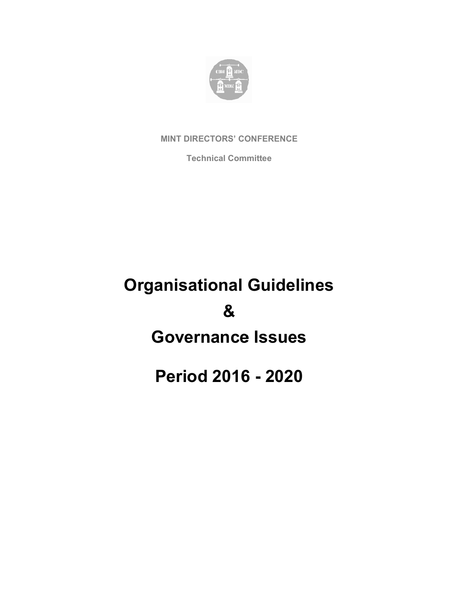

**MINT DIRECTORS' CONFERENCE** 

**Techn nical Comm mittee** 

# **Organisational Guidelines Governance Issues Pe eriod 2016 6 - 202 20 &**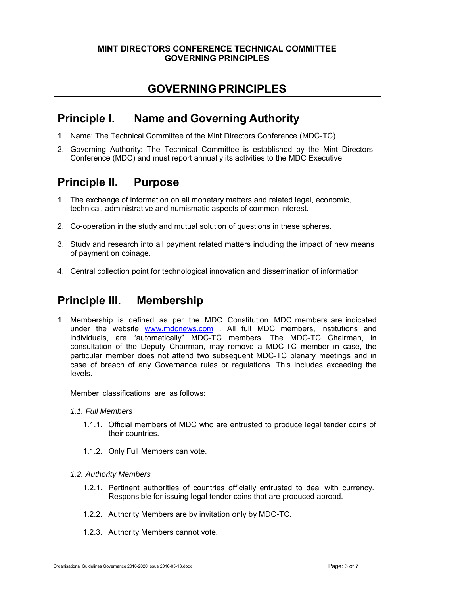#### **MINT DIRECTORS CONFERENCE TECHNICAL COMMITTEE GOVERNING PRINCIPLES**

#### **GOVERNING PRINCIPLES**

#### **Principle I. Name and Governing Authority**

- 1. Name: The Technical Committee of the Mint Directors Conference (MDC-TC)
- 2. Governing Authority: The Technical Committee is established by the Mint Directors Conference (MDC) and must report annually its activities to the MDC Executive.

### **Principle II. Purpose**

- 1. The exchange of information on all monetary matters and related legal, economic, technical, administrative and numismatic aspects of common interest.
- 2. Co-operation in the study and mutual solution of questions in these spheres.
- 3. Study and research into all payment related matters including the impact of new means of payment on coinage.
- 4. Central collection point for technological innovation and dissemination of information.

#### **Principle III. Membership**

1. Membership is defined as per the MDC Constitution. MDC members are indicated under the website www.mdcnews.com . All full MDC members, institutions and individuals, are "automatically" MDC-TC members. The MDC-TC Chairman, in consultation of the Deputy Chairman, may remove a MDC-TC member in case, the particular member does not attend two subsequent MDC-TC plenary meetings and in case of breach of any Governance rules or regulations. This includes exceeding the levels.

Member classifications are as follows:

- *1.1. Full Members* 
	- 1.1.1. Official members of MDC who are entrusted to produce legal tender coins of their countries.
	- 1.1.2. Only Full Members can vote.
- *1.2. Authority Members* 
	- 1.2.1. Pertinent authorities of countries officially entrusted to deal with currency. Responsible for issuing legal tender coins that are produced abroad.
	- 1.2.2. Authority Members are by invitation only by MDC-TC.
	- 1.2.3. Authority Members cannot vote.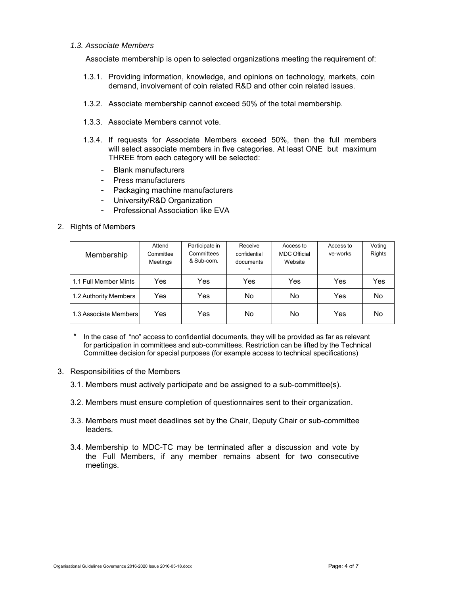#### *1.3. Associate Members*

Associate membership is open to selected organizations meeting the requirement of:

- 1.3.1. Providing information, knowledge, and opinions on technology, markets, coin demand, involvement of coin related R&D and other coin related issues.
- 1.3.2. Associate membership cannot exceed 50% of the total membership.
- 1.3.3. Associate Members cannot vote.
- 1.3.4. If requests for Associate Members exceed 50%, then the full members will select associate members in five categories. At least ONE but maximum THREE from each category will be selected:
	- Blank manufacturers
	- Press manufacturers
	- Packaging machine manufacturers
	- University/R&D Organization
	- Professional Association like EVA
- 2. Rights of Members

| Membership            | Attend<br>Committee<br>Meetings | Participate in<br>Committees<br>& Sub-com. | Receive<br>confidential<br>documents<br>$\ast$ | Access to<br><b>MDC Official</b><br>Website | Access to<br>ve-works | Voting<br><b>Rights</b> |
|-----------------------|---------------------------------|--------------------------------------------|------------------------------------------------|---------------------------------------------|-----------------------|-------------------------|
| 1.1 Full Member Mints | Yes                             | Yes                                        | Yes                                            | Yes                                         | Yes                   | Yes                     |
| 1.2 Authority Members | Yes                             | Yes                                        | No                                             | No.                                         | Yes                   | No                      |
| 1.3 Associate Members | Yes                             | Yes                                        | No                                             | No.                                         | Yes                   | No                      |

- In the case of "no" access to confidential documents, they will be provided as far as relevant for participation in committees and sub-committees. Restriction can be lifted by the Technical Committee decision for special purposes (for example access to technical specifications)
- 3. Responsibilities of the Members
	- 3.1. Members must actively participate and be assigned to a sub-committee(s).
	- 3.2. Members must ensure completion of questionnaires sent to their organization.
	- 3.3. Members must meet deadlines set by the Chair, Deputy Chair or sub-committee leaders.
	- 3.4. Membership to MDC-TC may be terminated after a discussion and vote by the Full Members, if any member remains absent for two consecutive meetings.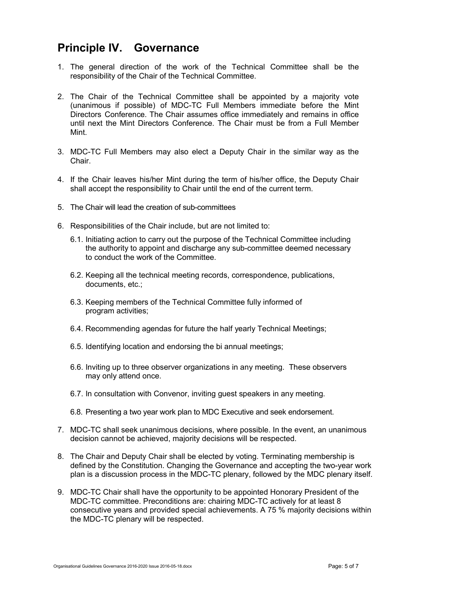#### **Principle IV. Governance**

- 1. The general direction of the work of the Technical Committee shall be the responsibility of the Chair of the Technical Committee.
- 2. The Chair of the Technical Committee shall be appointed by a majority vote (unanimous if possible) of MDC-TC Full Members immediate before the Mint Directors Conference. The Chair assumes office immediately and remains in office until next the Mint Directors Conference. The Chair must be from a Full Member Mint.
- 3. MDC-TC Full Members may also elect a Deputy Chair in the similar way as the Chair.
- 4. If the Chair leaves his/her Mint during the term of his/her office, the Deputy Chair shall accept the responsibility to Chair until the end of the current term.
- 5. The Chair will lead the creation of sub-committees
- 6. Responsibilities of the Chair include, but are not limited to:
	- 6.1. Initiating action to carry out the purpose of the Technical Committee including the authority to appoint and discharge any sub-committee deemed necessary to conduct the work of the Committee.
	- 6.2. Keeping all the technical meeting records, correspondence, publications, documents, etc.;
	- 6.3. Keeping members of the Technical Committee fully informed of program activities;
	- 6.4. Recommending agendas for future the half yearly Technical Meetings;
	- 6.5. Identifying location and endorsing the bi annual meetings;
	- 6.6. Inviting up to three observer organizations in any meeting. These observers may only attend once.
	- 6.7. In consultation with Convenor, inviting guest speakers in any meeting.
	- 6.8. Presenting a two year work plan to MDC Executive and seek endorsement.
- 7. MDC-TC shall seek unanimous decisions, where possible. In the event, an unanimous decision cannot be achieved, majority decisions will be respected.
- 8. The Chair and Deputy Chair shall be elected by voting. Terminating membership is defined by the Constitution. Changing the Governance and accepting the two-year work plan is a discussion process in the MDC-TC plenary, followed by the MDC plenary itself.
- 9. MDC-TC Chair shall have the opportunity to be appointed Honorary President of the MDC-TC committee. Preconditions are: chairing MDC-TC actively for at least 8 consecutive years and provided special achievements. A 75 % majority decisions within the MDC-TC plenary will be respected.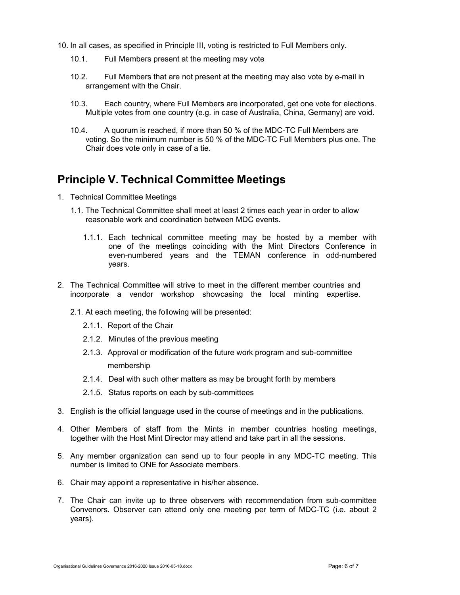- 10. In all cases, as specified in Principle III, voting is restricted to Full Members only.
	- 10.1. Full Members present at the meeting may vote
	- 10.2. Full Members that are not present at the meeting may also vote by e-mail in arrangement with the Chair.
	- 10.3. Each country, where Full Members are incorporated, get one vote for elections. Multiple votes from one country (e.g. in case of Australia, China, Germany) are void.
	- 10.4. A quorum is reached, if more than 50 % of the MDC-TC Full Members are voting. So the minimum number is 50 % of the MDC-TC Full Members plus one. The Chair does vote only in case of a tie.

#### **Principle V. Technical Committee Meetings**

- 1. Technical Committee Meetings
	- 1.1. The Technical Committee shall meet at least 2 times each year in order to allow reasonable work and coordination between MDC events.
		- 1.1.1. Each technical committee meeting may be hosted by a member with one of the meetings coinciding with the Mint Directors Conference in even-numbered years and the TEMAN conference in odd-numbered years.
- 2. The Technical Committee will strive to meet in the different member countries and incorporate a vendor workshop showcasing the local minting expertise.
	- 2.1. At each meeting, the following will be presented:
		- 2.1.1. Report of the Chair
		- 2.1.2. Minutes of the previous meeting
		- 2.1.3. Approval or modification of the future work program and sub-committee membership
		- 2.1.4. Deal with such other matters as may be brought forth by members
		- 2.1.5. Status reports on each by sub-committees
- 3. English is the official language used in the course of meetings and in the publications.
- 4. Other Members of staff from the Mints in member countries hosting meetings, together with the Host Mint Director may attend and take part in all the sessions.
- 5. Any member organization can send up to four people in any MDC-TC meeting. This number is limited to ONE for Associate members.
- 6. Chair may appoint a representative in his/her absence.
- 7. The Chair can invite up to three observers with recommendation from sub-committee Convenors. Observer can attend only one meeting per term of MDC-TC (i.e. about 2 years).